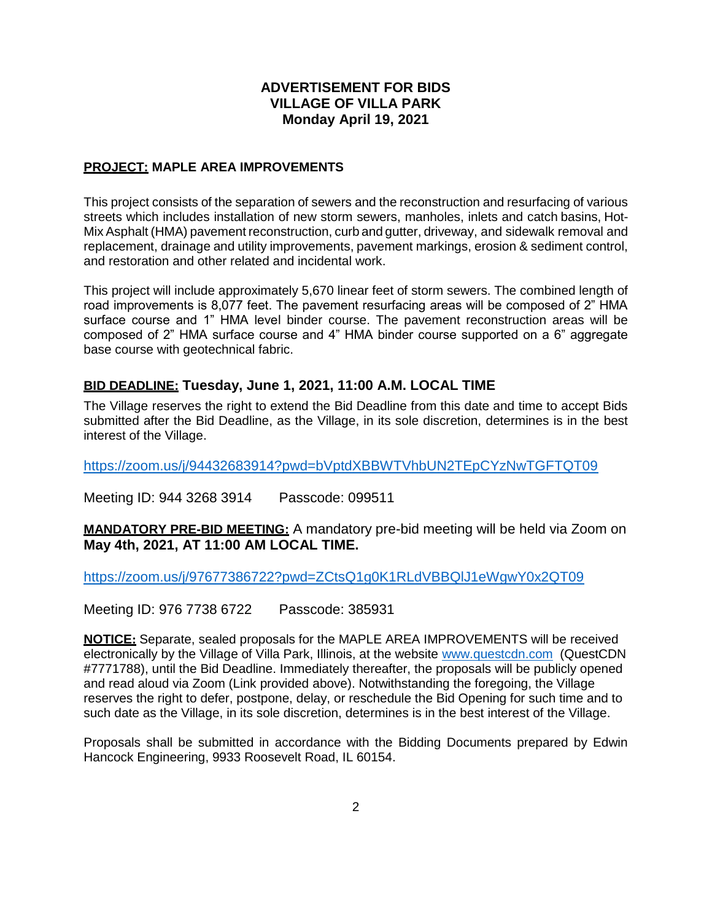## **ADVERTISEMENT FOR BIDS VILLAGE OF VILLA PARK Monday April 19, 2021**

## **PROJECT: MAPLE AREA IMPROVEMENTS**

This project consists of the separation of sewers and the reconstruction and resurfacing of various streets which includes installation of new storm sewers, manholes, inlets and catch basins, Hot-MixAsphalt (HMA) pavement reconstruction, curb and gutter, driveway, and sidewalk removal and replacement, drainage and utility improvements, pavement markings, erosion & sediment control, and restoration and other related and incidental work.

This project will include approximately 5,670 linear feet of storm sewers. The combined length of road improvements is 8,077 feet. The pavement resurfacing areas will be composed of 2" HMA surface course and 1" HMA level binder course. The pavement reconstruction areas will be composed of 2" HMA surface course and 4" HMA binder course supported on a 6" aggregate base course with geotechnical fabric.

## **BID DEADLINE: Tuesday, June 1, 2021, 11:00 A.M. LOCAL TIME**

The Village reserves the right to extend the Bid Deadline from this date and time to accept Bids submitted after the Bid Deadline, as the Village, in its sole discretion, determines is in the best interest of the Village.

<https://zoom.us/j/94432683914?pwd=bVptdXBBWTVhbUN2TEpCYzNwTGFTQT09>

Meeting ID: 944 3268 3914 Passcode: 099511

**MANDATORY PRE-BID MEETING:** A mandatory pre-bid meeting will be held via Zoom on **May 4th, 2021, AT 11:00 AM LOCAL TIME.**

<https://zoom.us/j/97677386722?pwd=ZCtsQ1g0K1RLdVBBQlJ1eWgwY0x2QT09>

Meeting ID: 976 7738 6722 Passcode: 385931

**NOTICE:** Separate, sealed proposals for the MAPLE AREA IMPROVEMENTS will be received electronically by the Village of Villa Park, Illinois, at the website [www.questcdn.com](http://www.questcdn.com/) (QuestCDN #7771788), until the Bid Deadline. Immediately thereafter, the proposals will be publicly opened and read aloud via Zoom (Link provided above). Notwithstanding the foregoing, the Village reserves the right to defer, postpone, delay, or reschedule the Bid Opening for such time and to such date as the Village, in its sole discretion, determines is in the best interest of the Village.

Proposals shall be submitted in accordance with the Bidding Documents prepared by Edwin Hancock Engineering, 9933 Roosevelt Road, IL 60154.